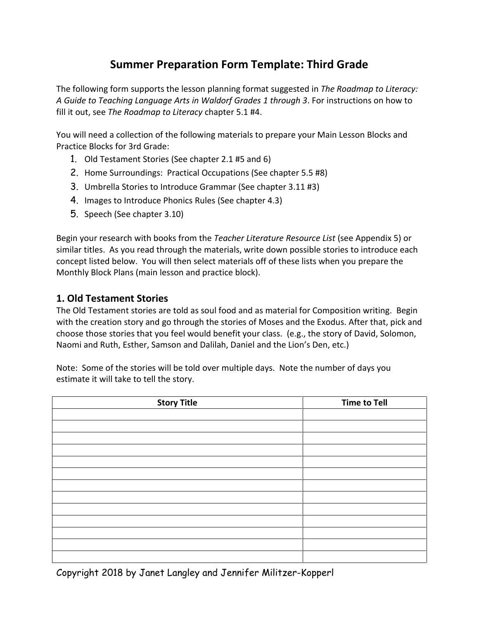# **Summer Preparation Form Template: Third Grade**

The following form supports the lesson planning format suggested in *The Roadmap to Literacy: A Guide to Teaching Language Arts in Waldorf Grades 1 through 3*. For instructions on how to fill it out, see *The Roadmap to Literacy* chapter 5.1 #4.

You will need a collection of the following materials to prepare your Main Lesson Blocks and Practice Blocks for 3rd Grade:

- 1. Old Testament Stories (See chapter 2.1 #5 and 6)
- 2. Home Surroundings: Practical Occupations (See chapter 5.5 #8)
- 3. Umbrella Stories to Introduce Grammar (See chapter 3.11 #3)
- 4. Images to Introduce Phonics Rules (See chapter 4.3)
- 5. Speech (See chapter 3.10)

Begin your research with books from the *Teacher Literature Resource List* (see Appendix 5) or similar titles. As you read through the materials, write down possible stories to introduce each concept listed below. You will then select materials off of these lists when you prepare the Monthly Block Plans (main lesson and practice block).

#### **1. Old Testament Stories**

The Old Testament stories are told as soul food and as material for Composition writing. Begin with the creation story and go through the stories of Moses and the Exodus. After that, pick and choose those stories that you feel would benefit your class. (e.g., the story of David, Solomon, Naomi and Ruth, Esther, Samson and Dalilah, Daniel and the Lion's Den, etc.)

Note: Some of the stories will be told over multiple days. Note the number of days you estimate it will take to tell the story.

| <b>Story Title</b> | <b>Time to Tell</b> |
|--------------------|---------------------|
|                    |                     |
|                    |                     |
|                    |                     |
|                    |                     |
|                    |                     |
|                    |                     |
|                    |                     |
|                    |                     |
|                    |                     |
|                    |                     |
|                    |                     |
|                    |                     |
|                    |                     |

Copyright 2018 by Janet Langley and Jennifer Militzer-Kopperl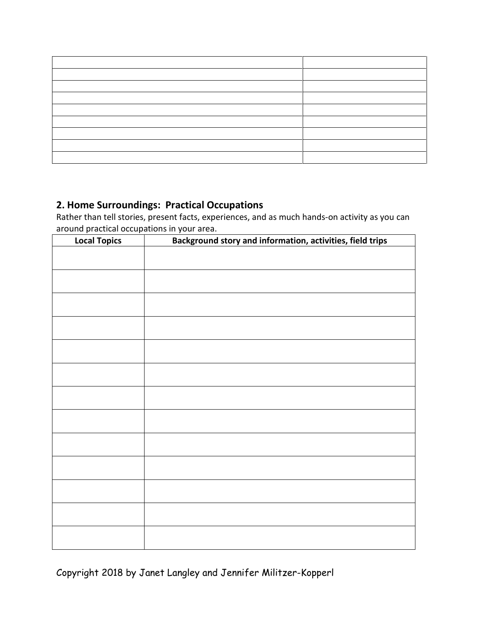### **2. Home Surroundings: Practical Occupations**

Rather than tell stories, present facts, experiences, and as much hands-on activity as you can around practical occupations in your area.

| <b>Local Topics</b> | Background story and information, activities, field trips |
|---------------------|-----------------------------------------------------------|
|                     |                                                           |
|                     |                                                           |
|                     |                                                           |
|                     |                                                           |
|                     |                                                           |
|                     |                                                           |
|                     |                                                           |
|                     |                                                           |
|                     |                                                           |
|                     |                                                           |
|                     |                                                           |
|                     |                                                           |
|                     |                                                           |
|                     |                                                           |
|                     |                                                           |
|                     |                                                           |
|                     |                                                           |
|                     |                                                           |
|                     |                                                           |
|                     |                                                           |
|                     |                                                           |
|                     |                                                           |
|                     |                                                           |

Copyright 2018 by Janet Langley and Jennifer Militzer-Kopperl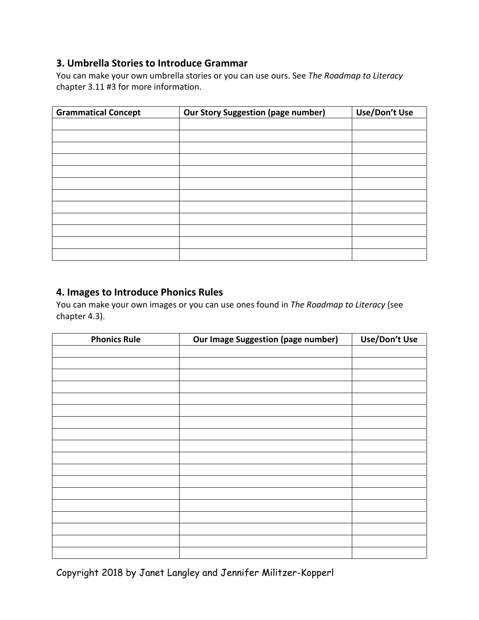#### **3. Umbrella Stories to Introduce Grammar**

You can make your own umbrella stories or you can use ours. See *The Roadmap to Literacy*  chapter 3.11 #3 for more information.

| <b>Grammatical Concept</b> | <b>Our Story Suggestion (page number)</b> | Use/Don't Use |
|----------------------------|-------------------------------------------|---------------|
|                            |                                           |               |
|                            |                                           |               |
|                            |                                           |               |
|                            |                                           |               |
|                            |                                           |               |
|                            |                                           |               |
|                            |                                           |               |
|                            |                                           |               |
|                            |                                           |               |
|                            |                                           |               |
|                            |                                           |               |
|                            |                                           |               |

#### **4. Images to Introduce Phonics Rules**

You can make your own images or you can use ones found in *The Roadmap to Literacy* (see chapter 4.3).

| <b>Phonics Rule</b> | Our Image Suggestion (page number) | Use/Don't Use |
|---------------------|------------------------------------|---------------|
|                     |                                    |               |
|                     |                                    |               |
|                     |                                    |               |
|                     |                                    |               |
|                     |                                    |               |
|                     |                                    |               |
|                     |                                    |               |
|                     |                                    |               |
|                     |                                    |               |
|                     |                                    |               |
|                     |                                    |               |
|                     |                                    |               |
|                     |                                    |               |
|                     |                                    |               |
|                     |                                    |               |
|                     |                                    |               |
|                     |                                    |               |
|                     |                                    |               |

Copyright 2018 by Janet Langley and Jennifer Militzer-Kopperl